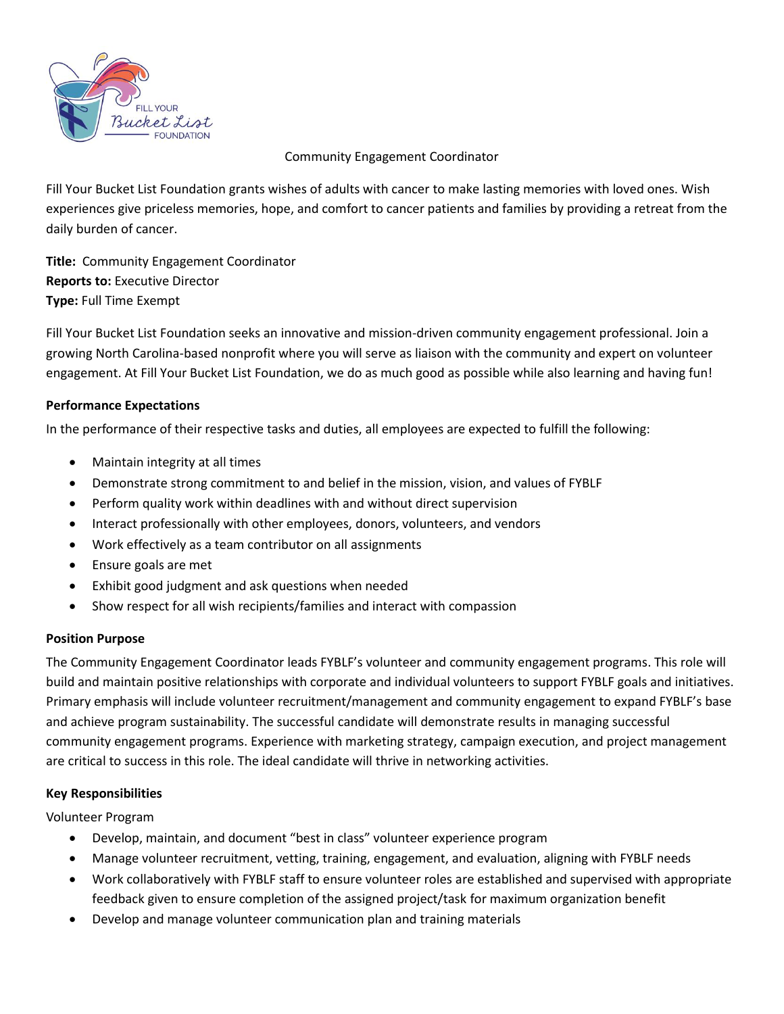

Community Engagement Coordinator

Fill Your Bucket List Foundation grants wishes of adults with cancer to make lasting memories with loved ones. Wish experiences give priceless memories, hope, and comfort to cancer patients and families by providing a retreat from the daily burden of cancer.

**Title:** Community Engagement Coordinator **Reports to:** Executive Director **Type:** Full Time Exempt

Fill Your Bucket List Foundation seeks an innovative and mission-driven community engagement professional. Join a growing North Carolina-based nonprofit where you will serve as liaison with the community and expert on volunteer engagement. At Fill Your Bucket List Foundation, we do as much good as possible while also learning and having fun!

# **Performance Expectations**

In the performance of their respective tasks and duties, all employees are expected to fulfill the following:

- Maintain integrity at all times
- Demonstrate strong commitment to and belief in the mission, vision, and values of FYBLF
- Perform quality work within deadlines with and without direct supervision
- Interact professionally with other employees, donors, volunteers, and vendors
- Work effectively as a team contributor on all assignments
- Ensure goals are met
- Exhibit good judgment and ask questions when needed
- Show respect for all wish recipients/families and interact with compassion

## **Position Purpose**

The Community Engagement Coordinator leads FYBLF's volunteer and community engagement programs. This role will build and maintain positive relationships with corporate and individual volunteers to support FYBLF goals and initiatives. Primary emphasis will include volunteer recruitment/management and community engagement to expand FYBLF's base and achieve program sustainability. The successful candidate will demonstrate results in managing successful community engagement programs. Experience with marketing strategy, campaign execution, and project management are critical to success in this role. The ideal candidate will thrive in networking activities.

## **Key Responsibilities**

Volunteer Program

- Develop, maintain, and document "best in class" volunteer experience program
- Manage volunteer recruitment, vetting, training, engagement, and evaluation, aligning with FYBLF needs
- Work collaboratively with FYBLF staff to ensure volunteer roles are established and supervised with appropriate feedback given to ensure completion of the assigned project/task for maximum organization benefit
- Develop and manage volunteer communication plan and training materials